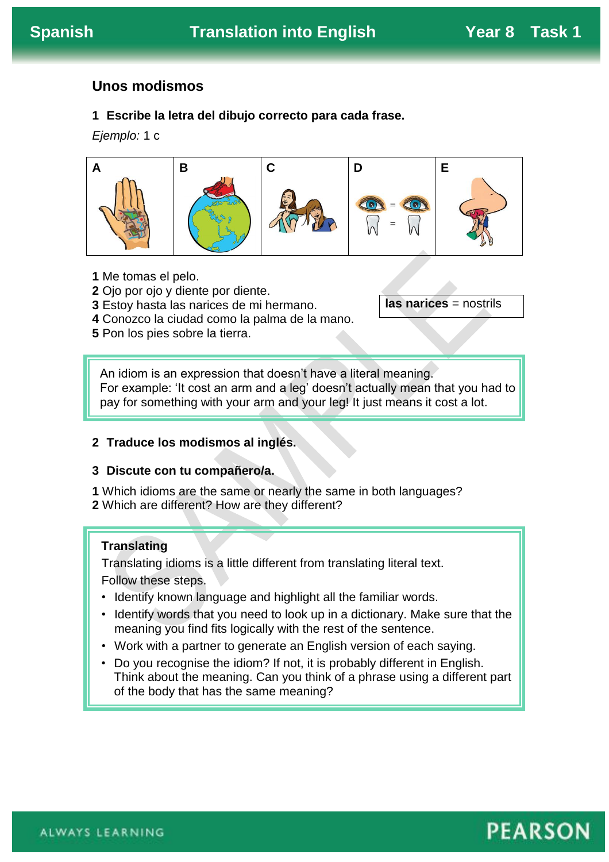# **Unos modismos**

**1 Escribe la letra del dibujo correcto para cada frase.**

*Ejemplo:* 1 c



- **1** Me tomas el pelo.
- **2** Ojo por ojo y diente por diente.
- **3** Estoy hasta las narices de mi hermano.
- **4** Conozco la ciudad como la palma de la mano.
- **5** Pon los pies sobre la tierra.

**las narices** = nostrils

An idiom is an expression that doesn't have a literal meaning. For example: 'It cost an arm and a leg' doesn't actually mean that you had to pay for something with your arm and your leg! It just means it cost a lot.

## **2 Traduce los modismos al inglés.**

#### **3 Discute con tu compañero/a.**

**1** Which idioms are the same or nearly the same in both languages? **2** Which are different? How are they different?

## **Translating**

Translating idioms is a little different from translating literal text. Follow these steps.

- Identify known language and highlight all the familiar words.
- Identify words that you need to look up in a dictionary. Make sure that the meaning you find fits logically with the rest of the sentence.
- Work with a partner to generate an English version of each saying.
- Do you recognise the idiom? If not, it is probably different in English. Think about the meaning. Can you think of a phrase using a different part of the body that has the same meaning?